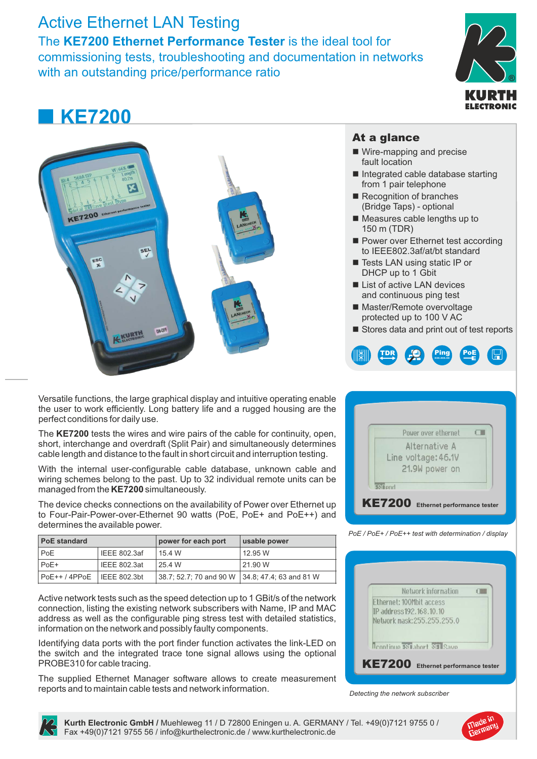### Active Ethernet LAN Testing

SE<sup>L</sup>

The **KE7200 Ethernet Performance Tester** is the ideal tool for commissioning tests, troubleshooting and documentation in networks with an outstanding price/performance ratio

## **KE7200**



#### At a glance

- $\blacksquare$  Wire-mapping and precise fault location
- $\blacksquare$  Integrated cable database starting from 1 pair telephone
- $\blacksquare$  Recognition of branches (Bridge Taps) - optional
- $\blacksquare$  Measures cable lengths up to 150 m (TDR)
- Power over Ethernet test according to IEEE802.3af/at/bt standard
- Tests LAN using static IP or DHCP up to 1 Gbit
- List of active LAN devices and continuous ping test
- Master/Remote overvoltage protected up to 100 V AC
- Stores data and print out of test reports



The **KE7200** tests the wires and wire pairs of the cable for continuity, open, short, interchange and overdraft (Split Pair) and simultaneously determines cable length and distance to the fault in short circuit and interruption testing.

With the internal user-configurable cable database, unknown cable and wiring schemes belong to the past. Up to 32 individual remote units can be managed from the **KE7200**simultaneously.

The device checks connections on the availability of Power over Ethernet up to Four-Pair-Power-over-Ethernet 90 watts (PoE, PoE+ and PoE++) and determines the available power.

| <b>PoE standard</b> |                      | power for each port                               | usable power |
|---------------------|----------------------|---------------------------------------------------|--------------|
| PoE                 | IEEE 802.3af         | 15.4 W                                            | 12.95 W      |
| PoE+                | IEEE 802.3at         | 25.4 W                                            | 21.90 W      |
| PoE++ / 4PPoE!      | $\vert$ IEEE 802.3bt | 138.7: 52.7: 70 and 90 W 134.8: 47.4: 63 and 81 W |              |

Active network tests such as the speed detection up to 1 GBit/s of the network connection, listing the existing network subscribers with Name, IP and MAC address as well as the configurable ping stress test with detailed statistics, information on the network and possibly faulty components.

Identifying data ports with the port finder function activates the link-LED on the switch and the integrated trace tone signal allows using the optional PROBE310 for cable tracing.

The supplied Ethernet Manager software allows to create measurement reports and to maintain cable tests and network information.



| Power over ethernet                                 |  |
|-----------------------------------------------------|--|
| Alternative A<br>Line voltage: 46.1V                |  |
| 21.9W power on                                      |  |
| <b>KYT</b> and                                      |  |
| <b>KE7200</b><br><b>Ethernet performance tester</b> |  |

*PoE / PoE+ / PoE++ test with determination / display*

|                                 | Network information                  |  |
|---------------------------------|--------------------------------------|--|
| <b>Ethernet: 100Mbit access</b> |                                      |  |
| IP address 192, 168, 10, 10     |                                      |  |
|                                 | Network mask: 255, 255, 255, 0       |  |
|                                 |                                      |  |
|                                 |                                      |  |
|                                 | <b>Departinue 580 abort 851 Save</b> |  |

*Detecting the network subscriber*